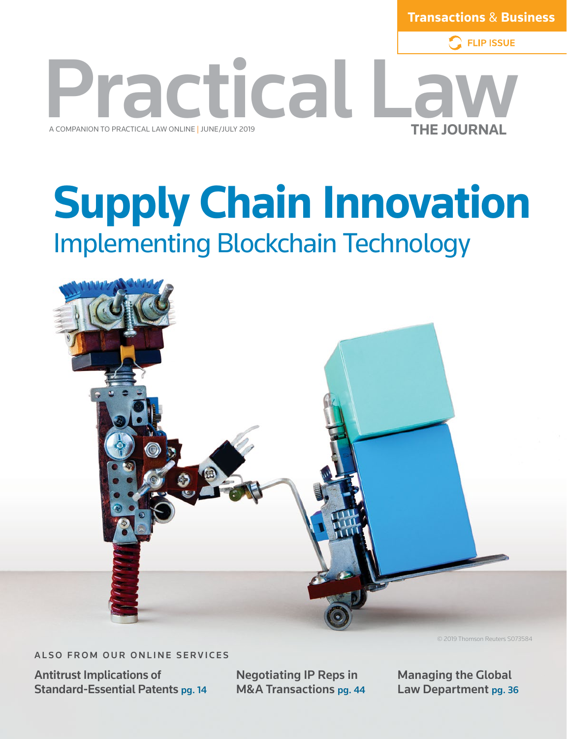**Transactions** & **Business**

**FLIP ISSUE** 



## **Supply Chain Innovation** Implementing Blockchain Technology



ALSO FROM OUR ONLINE SERVICES

Antitrust Implications of Standard-Essential Patents pg. 14 Negotiating IP Reps in M&A Transactions pg. 44 © 2019 Thomson Reuters S073584

Managing the Global Law Department pg. 36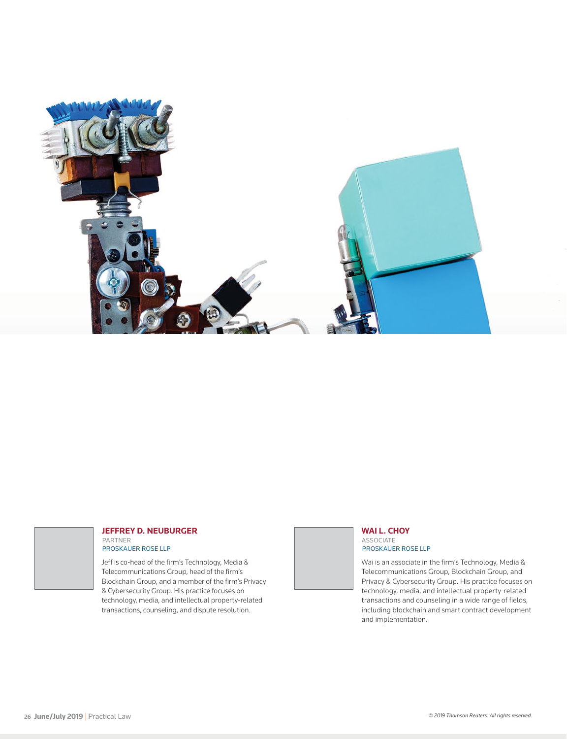

#### **JEFFREY D. NEUBURGER** PARTNER

PROSKAUER ROSE LLP

Jeff is co-head of the firm's Technology, Media & Telecommunications Group, head of the firm's Blockchain Group, and a member of the firm's Privacy & Cybersecurity Group. His practice focuses on technology, media, and intellectual property-related transactions, counseling, and dispute resolution.

**WAI L. CHOY** ASSOCIATE

PROSKAUER ROSE LLP

Wai is an associate in the firm's Technology, Media & Telecommunications Group, Blockchain Group, and Privacy & Cybersecurity Group. His practice focuses on technology, media, and intellectual property-related transactions and counseling in a wide range of fields, including blockchain and smart contract development and implementation.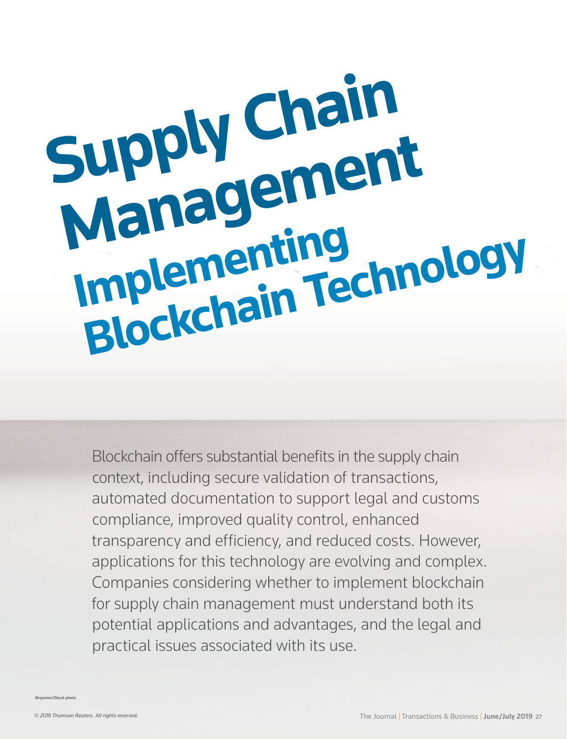# **Imply Chal Supply Chain Management Implementing mplementing**<br>Blockchain Technology

Blockchain offers substantial benefits in the supply chain context, including secure validation of transactions, automated documentation to support legal and customs compliance, improved quality control, enhanced transparency and efficiency, and reduced costs. However, applications for this technology are evolving and complex. Companies considering whether to implement blockchain for supply chain management must understand both its potential applications and advantages, and the legal and practical issues associated with its use.

*Besjunior/iStock photo*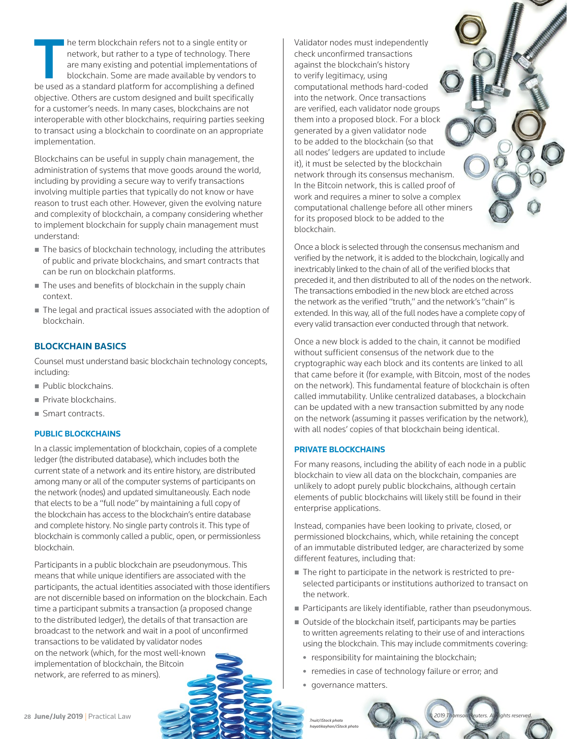The term blockchain refers not to a single entity or network, but rather to a type of technology. There are many existing and potential implementations of blockchain. Some are made available by vendors to be used as a stan network, but rather to a type of technology. There are many existing and potential implementations of blockchain. Some are made available by vendors to objective. Others are custom designed and built specifically for a customer's needs. In many cases, blockchains are not interoperable with other blockchains, requiring parties seeking to transact using a blockchain to coordinate on an appropriate implementation.

Blockchains can be useful in supply chain management, the administration of systems that move goods around the world, including by providing a secure way to verify transactions involving multiple parties that typically do not know or have reason to trust each other. However, given the evolving nature and complexity of blockchain, a company considering whether to implement blockchain for supply chain management must understand:

- The basics of blockchain technology, including the attributes of public and private blockchains, and smart contracts that can be run on blockchain platforms.
- The uses and benefits of blockchain in the supply chain context.
- The legal and practical issues associated with the adoption of blockchain.

#### **BLOCKCHAIN BASICS**

Counsel must understand basic blockchain technology concepts, including:

- Public blockchains.
- Private blockchains.
- Smart contracts.

#### **PUBLIC BLOCKCHAINS**

In a classic implementation of blockchain, copies of a complete ledger (the distributed database), which includes both the current state of a network and its entire history, are distributed among many or all of the computer systems of participants on the network (nodes) and updated simultaneously. Each node that elects to be a "full node" by maintaining a full copy of the blockchain has access to the blockchain's entire database and complete history. No single party controls it. This type of blockchain is commonly called a public, open, or permissionless blockchain.

Participants in a public blockchain are pseudonymous. This means that while unique identifiers are associated with the participants, the actual identities associated with those identifiers are not discernible based on information on the blockchain. Each time a participant submits a transaction (a proposed change to the distributed ledger), the details of that transaction are broadcast to the network and wait in a pool of unconfirmed transactions to be validated by validator nodes on the network (which, for the most well-known implementation of blockchain, the Bitcoin network, are referred to as miners).

Validator nodes must independently check unconfirmed transactions against the blockchain's history to verify legitimacy, using computational methods hard-coded into the network. Once transactions are verified, each validator node groups them into a proposed block. For a block generated by a given validator node to be added to the blockchain (so that all nodes' ledgers are updated to include it), it must be selected by the blockchain network through its consensus mechanism. In the Bitcoin network, this is called proof of work and requires a miner to solve a complex computational challenge before all other miners for its proposed block to be added to the blockchain.

Once a block is selected through the consensus mechanism and verified by the network, it is added to the blockchain, logically and inextricably linked to the chain of all of the verified blocks that preceded it, and then distributed to all of the nodes on the network. The transactions embodied in the new block are etched across the network as the verified "truth," and the network's "chain" is extended. In this way, all of the full nodes have a complete copy of every valid transaction ever conducted through that network.

Once a new block is added to the chain, it cannot be modified without sufficient consensus of the network due to the cryptographic way each block and its contents are linked to all that came before it (for example, with Bitcoin, most of the nodes on the network). This fundamental feature of blockchain is often called immutability. Unlike centralized databases, a blockchain can be updated with a new transaction submitted by any node on the network (assuming it passes verification by the network), with all nodes' copies of that blockchain being identical.

#### **PRIVATE BLOCKCHAINS**

For many reasons, including the ability of each node in a public blockchain to view all data on the blockchain, companies are unlikely to adopt purely public blockchains, although certain elements of public blockchains will likely still be found in their enterprise applications.

Instead, companies have been looking to private, closed, or permissioned blockchains, which, while retaining the concept of an immutable distributed ledger, are characterized by some different features, including that:

- The right to participate in the network is restricted to preselected participants or institutions authorized to transact on the network.
- **Participants are likely identifiable, rather than pseudonymous.**
- Outside of the blockchain itself, participants may be parties to written agreements relating to their use of and interactions using the blockchain. This may include commitments covering:
	- $\bullet$  responsibility for maintaining the blockchain;
	- remedies in case of technology failure or error; and
	- governance matters.

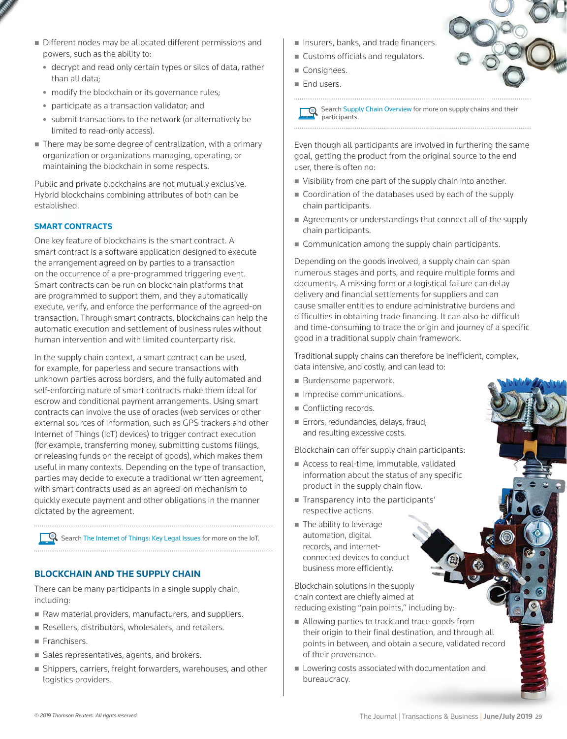- Different nodes may be allocated different permissions and powers, such as the ability to:
	- decrypt and read only certain types or silos of data, rather than all data;
	- modify the blockchain or its governance rules;
	- participate as a transaction validator; and
	- submit transactions to the network (or alternatively be limited to read-only access).
- There may be some degree of centralization, with a primary organization or organizations managing, operating, or maintaining the blockchain in some respects.

Public and private blockchains are not mutually exclusive. Hybrid blockchains combining attributes of both can be established.

#### **SMART CONTRACTS**

One key feature of blockchains is the smart contract. A smart contract is a software application designed to execute the arrangement agreed on by parties to a transaction on the occurrence of a pre-programmed triggering event. Smart contracts can be run on blockchain platforms that are programmed to support them, and they automatically execute, verify, and enforce the performance of the agreed-on transaction. Through smart contracts, blockchains can help the automatic execution and settlement of business rules without human intervention and with limited counterparty risk.

In the supply chain context, a smart contract can be used, for example, for paperless and secure transactions with unknown parties across borders, and the fully automated and self-enforcing nature of smart contracts make them ideal for escrow and conditional payment arrangements. Using smart contracts can involve the use of oracles (web services or other external sources of information, such as GPS trackers and other Internet of Things (IoT) devices) to trigger contract execution (for example, transferring money, submitting customs filings, or releasing funds on the receipt of goods), which makes them useful in many contexts. Depending on the type of transaction, parties may decide to execute a traditional written agreement, with smart contracts used as an agreed-on mechanism to quickly execute payment and other obligations in the manner dictated by the agreement.

Search [The Internet of Things: Key Legal Issues](http://us.practicallaw.tr.com/w-002-6962) for more on the IoT. 

#### **BLOCKCHAIN AND THE SUPPLY CHAIN**

There can be many participants in a single supply chain, including:

- Raw material providers, manufacturers, and suppliers.
- Resellers, distributors, wholesalers, and retailers.
- Franchisers.
- Sales representatives, agents, and brokers.
- Shippers, carriers, freight forwarders, warehouses, and other logistics providers.
- **Insurers, banks, and trade financers.**
- **Customs officials and regulators.**
- Consignees.
- **End users.**

Search [Supply Chain Overview](http://us.practicallaw.tr.com/0-523-6390) for more on supply chains and their participants.

Even though all participants are involved in furthering the same goal, getting the product from the original source to the end user, there is often no:

- Visibility from one part of the supply chain into another.
- Coordination of the databases used by each of the supply chain participants.
- Agreements or understandings that connect all of the supply chain participants.
- Communication among the supply chain participants.

Depending on the goods involved, a supply chain can span numerous stages and ports, and require multiple forms and documents. A missing form or a logistical failure can delay delivery and financial settlements for suppliers and can cause smaller entities to endure administrative burdens and difficulties in obtaining trade financing. It can also be difficult and time-consuming to trace the origin and journey of a specific good in a traditional supply chain framework.

Traditional supply chains can therefore be inefficient, complex, data intensive, and costly, and can lead to:

- Burdensome paperwork.
- **Imprecise communications.**
- Conflicting records.
- **Errors, redundancies, delays, fraud,** and resulting excessive costs.

Blockchain can offer supply chain participants:

- Access to real-time, immutable, validated information about the status of any specific product in the supply chain flow.
- **Transparency into the participants** respective actions.
- The ability to leverage automation, digital records, and internetconnected devices to conduct business more efficiently.

Blockchain solutions in the supply chain context are chiefly aimed at reducing existing "pain points," including by:

- Allowing parties to track and trace goods from their origin to their final destination, and through all points in between, and obtain a secure, validated record of their provenance.
- **Lowering costs associated with documentation and** bureaucracy.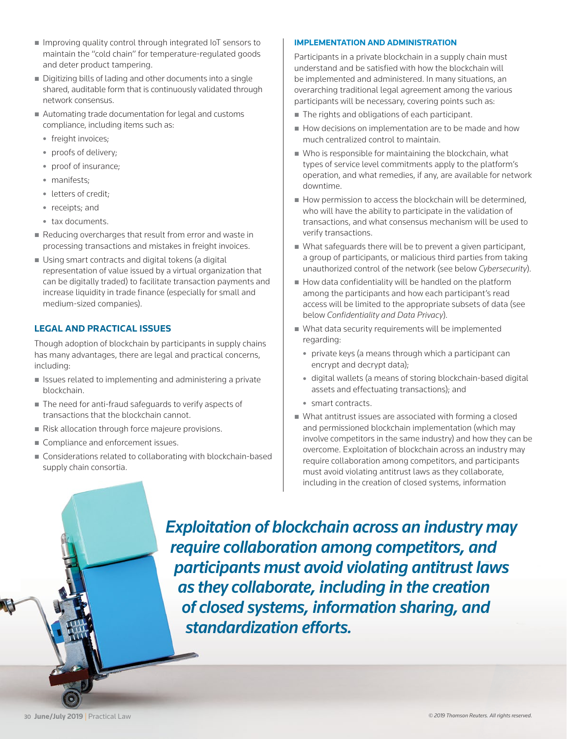- Improving quality control through integrated IoT sensors to maintain the "cold chain" for temperature-regulated goods and deter product tampering.
- Digitizing bills of lading and other documents into a single shared, auditable form that is continuously validated through network consensus.
- Automating trade documentation for legal and customs compliance, including items such as:
	- freight invoices;
	- proofs of delivery;
	- proof of insurance;
	- manifests;
	- letters of credit;
	- receipts: and
	- tax documents.
- Reducing overcharges that result from error and waste in processing transactions and mistakes in freight invoices.
- Using smart contracts and digital tokens (a digital representation of value issued by a virtual organization that can be digitally traded) to facilitate transaction payments and increase liquidity in trade finance (especially for small and medium-sized companies).

#### **LEGAL AND PRACTICAL ISSUES**

Though adoption of blockchain by participants in supply chains has many advantages, there are legal and practical concerns, including:

- $\blacksquare$  Issues related to implementing and administering a private blockchain.
- The need for anti-fraud safeguards to verify aspects of transactions that the blockchain cannot.
- Risk allocation through force majeure provisions.
- Compliance and enforcement issues.
- Considerations related to collaborating with blockchain-based supply chain consortia.

#### **IMPLEMENTATION AND ADMINISTRATION**

Participants in a private blockchain in a supply chain must understand and be satisfied with how the blockchain will be implemented and administered. In many situations, an overarching traditional legal agreement among the various participants will be necessary, covering points such as:

- The rights and obligations of each participant.
- How decisions on implementation are to be made and how much centralized control to maintain.
- Who is responsible for maintaining the blockchain, what types of service level commitments apply to the platform's operation, and what remedies, if any, are available for network downtime.
- $\blacksquare$  How permission to access the blockchain will be determined, who will have the ability to participate in the validation of transactions, and what consensus mechanism will be used to verify transactions.
- What safeguards there will be to prevent a given participant, a group of participants, or malicious third parties from taking unauthorized control of the network (see below *Cybersecurity*).
- How data confidentiality will be handled on the platform among the participants and how each participant's read access will be limited to the appropriate subsets of data (see below *Confidentiality and Data Privacy*).
- What data security requirements will be implemented regarding:
	- private keys (a means through which a participant can encrypt and decrypt data);
	- digital wallets (a means of storing blockchain-based digital assets and effectuating transactions); and
	- smart contracts.
- What antitrust issues are associated with forming a closed and permissioned blockchain implementation (which may involve competitors in the same industry) and how they can be overcome. Exploitation of blockchain across an industry may require collaboration among competitors, and participants must avoid violating antitrust laws as they collaborate, including in the creation of closed systems, information

*Exploitation of blockchain across an industry may require collaboration among competitors, and participants must avoid violating antitrust laws as they collaborate, including in the creation of closed systems, information sharing, and standardization efforts.*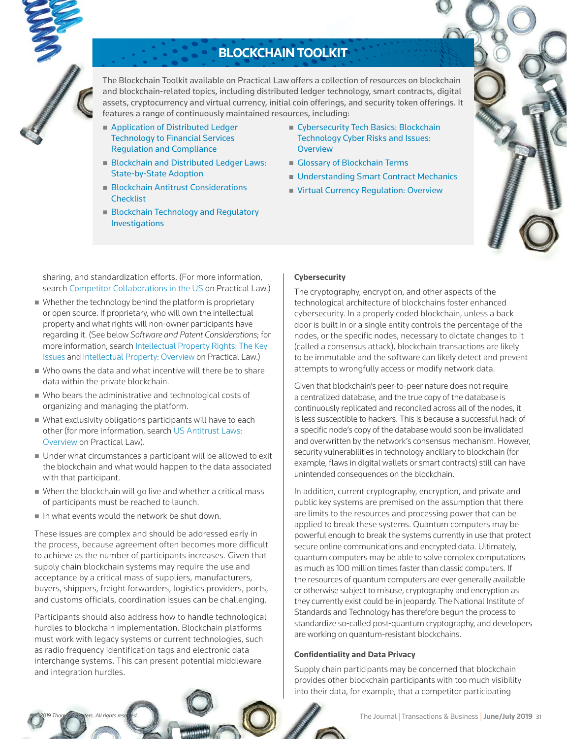

### **BLOCKCHAIN TOOLKIT**

The Blockchain Toolkit available on Practical Law offers a collection of resources on blockchain and blockchain-related topics, including distributed ledger technology, smart contracts, digital assets, cryptocurrency and virtual currency, initial coin offerings, and security token offerings. It features a range of continuously maintained resources, including:

- **Application of Distributed Ledger** [Technology to Financial Services](http://us.practicallaw.tr.com/w-012-5296)  [Regulation and Compliance](http://us.practicallaw.tr.com/w-012-5296)
- **Blockchain and Distributed Ledger Laws:** [State-by-State Adoption](http://us.practicallaw.tr.com/w-019-0651)
- **Blockchain Antitrust Considerations [Checklist](http://us.practicallaw.tr.com/w-013-4366)**
- **Blockchain Technology and Regulatory** [Investigations](http://us.practicallaw.tr.com/w-012-0333)
- Cybersecurity Tech Basics: Blockchain [Technology Cyber Risks and Issues:](http://us.practicallaw.tr.com/w-017-1916)  **[Overview](http://us.practicallaw.tr.com/w-017-1916)**
- [Glossary of Blockchain Terms](http://us.practicallaw.tr.com/w-016-9946)
- **[Understanding Smart Contract Mechanics](http://us.practicallaw.tr.com/w-005-3262)**
- **[Virtual Currency Regulation: Overview](http://us.practicallaw.tr.com/2-616-8450)**

sharing, and standardization efforts. (For more information, search [Competitor Collaborations in the US](http://us.practicallaw.tr.com/0-202-2806) on Practical Law.)

- Whether the technology behind the platform is proprietary or open source. If proprietary, who will own the intellectual property and what rights will non-owner participants have regarding it. (See below *Software and Patent Considerations*; for more information, search [Intellectual Property Rights: The Key](http://us.practicallaw.tr.com/2-500-4365)  [Issues](http://us.practicallaw.tr.com/2-500-4365) and [Intellectual Property: Overview](http://us.practicallaw.tr.com/8-383-4565) on Practical Law.)
- Who owns the data and what incentive will there be to share data within the private blockchain.
- Who bears the administrative and technological costs of organizing and managing the platform.
- What exclusivity obligations participants will have to each other (for more information, search [US Antitrust Laws:](http://us.practicallaw.tr.com/9-204-0472)  [Overview](http://us.practicallaw.tr.com/9-204-0472) on Practical Law).
- Under what circumstances a participant will be allowed to exit the blockchain and what would happen to the data associated with that participant.
- When the blockchain will go live and whether a critical mass of participants must be reached to launch.
- In what events would the network be shut down.

These issues are complex and should be addressed early in the process, because agreement often becomes more difficult to achieve as the number of participants increases. Given that supply chain blockchain systems may require the use and acceptance by a critical mass of suppliers, manufacturers, buyers, shippers, freight forwarders, logistics providers, ports, and customs officials, coordination issues can be challenging.

Participants should also address how to handle technological hurdles to blockchain implementation. Blockchain platforms must work with legacy systems or current technologies, such as radio frequency identification tags and electronic data interchange systems. This can present potential middleware and integration hurdles.

#### **Cybersecurity**

The cryptography, encryption, and other aspects of the technological architecture of blockchains foster enhanced cybersecurity. In a properly coded blockchain, unless a back door is built in or a single entity controls the percentage of the nodes, or the specific nodes, necessary to dictate changes to it (called a consensus attack), blockchain transactions are likely to be immutable and the software can likely detect and prevent attempts to wrongfully access or modify network data.

Given that blockchain's peer-to-peer nature does not require a centralized database, and the true copy of the database is continuously replicated and reconciled across all of the nodes, it is less susceptible to hackers. This is because a successful hack of a specific node's copy of the database would soon be invalidated and overwritten by the network's consensus mechanism. However, security vulnerabilities in technology ancillary to blockchain (for example, flaws in digital wallets or smart contracts) still can have unintended consequences on the blockchain.

In addition, current cryptography, encryption, and private and public key systems are premised on the assumption that there are limits to the resources and processing power that can be applied to break these systems. Quantum computers may be powerful enough to break the systems currently in use that protect secure online communications and encrypted data. Ultimately, quantum computers may be able to solve complex computations as much as 100 million times faster than classic computers. If the resources of quantum computers are ever generally available or otherwise subject to misuse, cryptography and encryption as they currently exist could be in jeopardy. The National Institute of Standards and Technology has therefore begun the process to standardize so-called post-quantum cryptography, and developers are working on quantum-resistant blockchains.

#### **Confidentiality and Data Privacy**

Supply chain participants may be concerned that blockchain provides other blockchain participants with too much visibility into their data, for example, that a competitor participating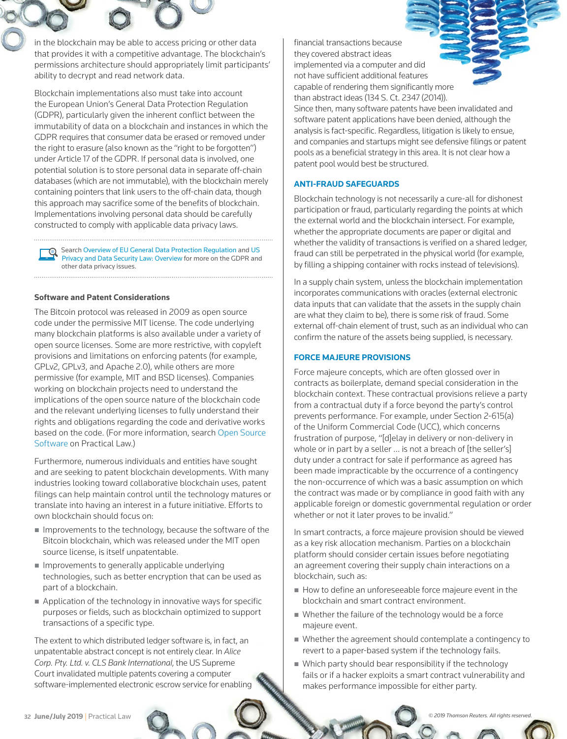in the blockchain may be able to access pricing or other data that provides it with a competitive advantage. The blockchain's permissions architecture should appropriately limit participants' ability to decrypt and read network data.

Blockchain implementations also must take into account the European Union's General Data Protection Regulation (GDPR), particularly given the inherent conflict between the immutability of data on a blockchain and instances in which the GDPR requires that consumer data be erased or removed under the right to erasure (also known as the "right to be forgotten") under Article 17 of the GDPR. If personal data is involved, one potential solution is to store personal data in separate off-chain databases (which are not immutable), with the blockchain merely containing pointers that link users to the off-chain data, though this approach may sacrifice some of the benefits of blockchain. Implementations involving personal data should be carefully constructed to comply with applicable data privacy laws.

Search [Overview of EU General Data Protection Regulation](http://us.practicallaw.tr.com/w-007-9580) and US [Privacy and Data Security Law: Overview](http://us.practicallaw.tr.com/6-501-4555) for more on the GDPR and other data privacy issues.

#### **Software and Patent Considerations**

The Bitcoin protocol was released in 2009 as open source code under the permissive MIT license. The code underlying many blockchain platforms is also available under a variety of open source licenses. Some are more restrictive, with copyleft provisions and limitations on enforcing patents (for example, GPLv2, GPLv3, and Apache 2.0), while others are more permissive (for example, MIT and BSD licenses). Companies working on blockchain projects need to understand the implications of the open source nature of the blockchain code and the relevant underlying licenses to fully understand their rights and obligations regarding the code and derivative works based on the code. (For more information, search [Open Source](http://us.practicallaw.tr.com/0-500-4366)  [Software](http://us.practicallaw.tr.com/0-500-4366) on Practical Law.)

Furthermore, numerous individuals and entities have sought and are seeking to patent blockchain developments. With many industries looking toward collaborative blockchain uses, patent filings can help maintain control until the technology matures or translate into having an interest in a future initiative. Efforts to own blockchain should focus on:

- $\blacksquare$  Improvements to the technology, because the software of the Bitcoin blockchain, which was released under the MIT open source license, is itself unpatentable.
- **Improvements to generally applicable underlying** technologies, such as better encryption that can be used as part of a blockchain.
- Application of the technology in innovative ways for specific purposes or fields, such as blockchain optimized to support transactions of a specific type.

The extent to which distributed ledger software is, in fact, an unpatentable abstract concept is not entirely clear. In *Alice Corp. Pty. Ltd. v. CLS Bank International*, the US Supreme Court invalidated multiple patents covering a computer software-implemented electronic escrow service for enabling financial transactions because they covered abstract ideas implemented via a computer and did not have sufficient additional features capable of rendering them significantly more than abstract ideas (134 S. Ct. 2347 (2014)).

Since then, many software patents have been invalidated and software patent applications have been denied, although the analysis is fact-specific. Regardless, litigation is likely to ensue, and companies and startups might see defensive filings or patent pools as a beneficial strategy in this area. It is not clear how a patent pool would best be structured.

#### **ANTI-FRAUD SAFEGUARDS**

Blockchain technology is not necessarily a cure-all for dishonest participation or fraud, particularly regarding the points at which the external world and the blockchain intersect. For example, whether the appropriate documents are paper or digital and whether the validity of transactions is verified on a shared ledger, fraud can still be perpetrated in the physical world (for example, by filling a shipping container with rocks instead of televisions).

In a supply chain system, unless the blockchain implementation incorporates communications with oracles (external electronic data inputs that can validate that the assets in the supply chain are what they claim to be), there is some risk of fraud. Some external off-chain element of trust, such as an individual who can confirm the nature of the assets being supplied, is necessary.

#### **FORCE MAJEURE PROVISIONS**

Force majeure concepts, which are often glossed over in contracts as boilerplate, demand special consideration in the blockchain context. These contractual provisions relieve a party from a contractual duty if a force beyond the party's control prevents performance. For example, under Section 2-615(a) of the Uniform Commercial Code (UCC), which concerns frustration of purpose, "[d]elay in delivery or non-delivery in whole or in part by a seller ... is not a breach of [the seller's] duty under a contract for sale if performance as agreed has been made impracticable by the occurrence of a contingency the non-occurrence of which was a basic assumption on which the contract was made or by compliance in good faith with any applicable foreign or domestic governmental regulation or order whether or not it later proves to be invalid."

In smart contracts, a force majeure provision should be viewed as a key risk allocation mechanism. Parties on a blockchain platform should consider certain issues before negotiating an agreement covering their supply chain interactions on a blockchain, such as:

- How to define an unforeseeable force majeure event in the blockchain and smart contract environment.
- Whether the failure of the technology would be a force majeure event.
- Whether the agreement should contemplate a contingency to revert to a paper-based system if the technology fails.
- Which party should bear responsibility if the technology fails or if a hacker exploits a smart contract vulnerability and makes performance impossible for either party.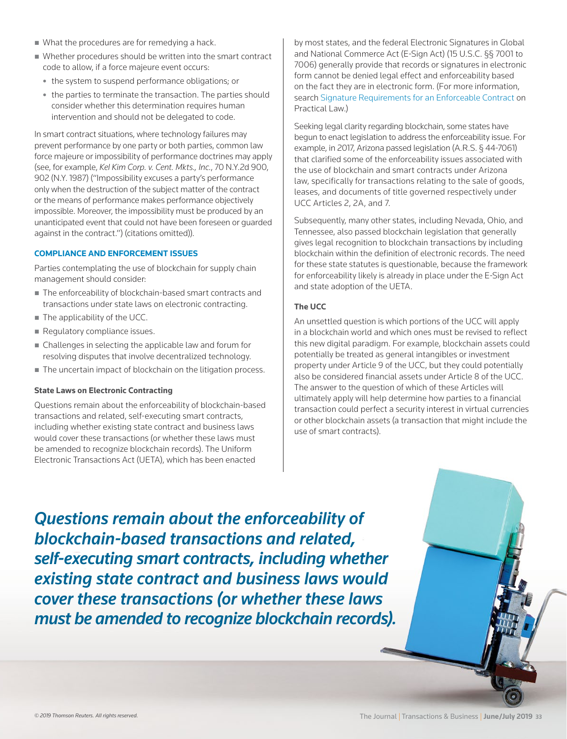- What the procedures are for remedying a hack.
- Whether procedures should be written into the smart contract code to allow, if a force majeure event occurs:
	- the system to suspend performance obligations; or
	- the parties to terminate the transaction. The parties should consider whether this determination requires human intervention and should not be delegated to code.

In smart contract situations, where technology failures may prevent performance by one party or both parties, common law force majeure or impossibility of performance doctrines may apply (see, for example, *Kel Kim Corp. v. Cent. Mkts., Inc.*, 70 N.Y.2d 900, 902 (N.Y. 1987) ("Impossibility excuses a party's performance only when the destruction of the subject matter of the contract or the means of performance makes performance objectively impossible. Moreover, the impossibility must be produced by an unanticipated event that could not have been foreseen or guarded against in the contract.") (citations omitted)).

#### **COMPLIANCE AND ENFORCEMENT ISSUES**

Parties contemplating the use of blockchain for supply chain management should consider:

- The enforceability of blockchain-based smart contracts and transactions under state laws on electronic contracting.
- The applicability of the UCC.
- Regulatory compliance issues.
- Challenges in selecting the applicable law and forum for resolving disputes that involve decentralized technology.
- The uncertain impact of blockchain on the litigation process.

#### **State Laws on Electronic Contracting**

Questions remain about the enforceability of blockchain-based transactions and related, self-executing smart contracts, including whether existing state contract and business laws would cover these transactions (or whether these laws must be amended to recognize blockchain records). The Uniform Electronic Transactions Act (UETA), which has been enacted

by most states, and the federal Electronic Signatures in Global and National Commerce Act (E-Sign Act) (15 U.S.C. §§ 7001 to 7006) generally provide that records or signatures in electronic form cannot be denied legal effect and enforceability based on the fact they are in electronic form. (For more information, search [Signature Requirements for an Enforceable Contract](http://us.practicallaw.tr.com/6-518-3096) on Practical Law.)

Seeking legal clarity regarding blockchain, some states have begun to enact legislation to address the enforceability issue. For example, in 2017, Arizona passed legislation (A.R.S. § 44-7061) that clarified some of the enforceability issues associated with the use of blockchain and smart contracts under Arizona law, specifically for transactions relating to the sale of goods, leases, and documents of title governed respectively under UCC Articles 2, 2A, and 7.

Subsequently, many other states, including Nevada, Ohio, and Tennessee, also passed blockchain legislation that generally gives legal recognition to blockchain transactions by including blockchain within the definition of electronic records. The need for these state statutes is questionable, because the framework for enforceability likely is already in place under the E-Sign Act and state adoption of the UETA.

#### **The UCC**

An unsettled question is which portions of the UCC will apply in a blockchain world and which ones must be revised to reflect this new digital paradigm. For example, blockchain assets could potentially be treated as general intangibles or investment property under Article 9 of the UCC, but they could potentially also be considered financial assets under Article 8 of the UCC. The answer to the question of which of these Articles will ultimately apply will help determine how parties to a financial transaction could perfect a security interest in virtual currencies or other blockchain assets (a transaction that might include the use of smart contracts).

*Questions remain about the enforceability of blockchain-based transactions and related, self-executing smart contracts, including whether existing state contract and business laws would cover these transactions (or whether these laws must be amended to recognize blockchain records).*